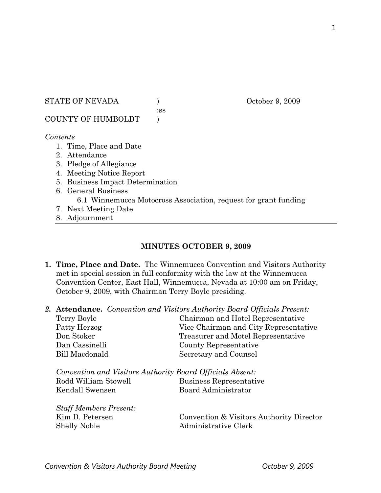#### STATE OF NEVADA ) October 9, 2009

:ss

COUNTY OF HUMBOLDT )

## *Contents*

- 1. Time, Place and Date
- 2. Attendance
- 3. Pledge of Allegiance
- 4. Meeting Notice Report
- 5. Business Impact Determination
- 6. General Business 6.1 Winnemucca Motocross Association, request for grant funding
- 7. Next Meeting Date
- 8. Adjournment

## **MINUTES OCTOBER 9, 2009**

- **1. Time, Place and Date.** The Winnemucca Convention and Visitors Authority met in special session in full conformity with the law at the Winnemucca Convention Center, East Hall, Winnemucca, Nevada at 10:00 am on Friday, October 9, 2009, with Chairman Terry Boyle presiding.
- *2.* **Attendance.** *Convention and Visitors Authority Board Officials Present:*

| Terry Boyle    | Chairman and Hotel Representative     |
|----------------|---------------------------------------|
| Patty Herzog   | Vice Chairman and City Representative |
| Don Stoker     | Treasurer and Motel Representative    |
| Dan Cassinelli | County Representative                 |
| Bill Macdonald | Secretary and Counsel                 |
|                |                                       |

| Convention and Visitors Authority Board Officials Absent: |                         |
|-----------------------------------------------------------|-------------------------|
| Rodd William Stowell                                      | Business Representative |
| Kendall Swensen                                           | Board Administrator     |

*Staff Members Present:*  Shelly Noble Administrative Clerk

Kim D. Petersen Convention & Visitors Authority Director

Convention & Visitors Authority Board Meeting **Convention & Visitors Authority Board Meeting**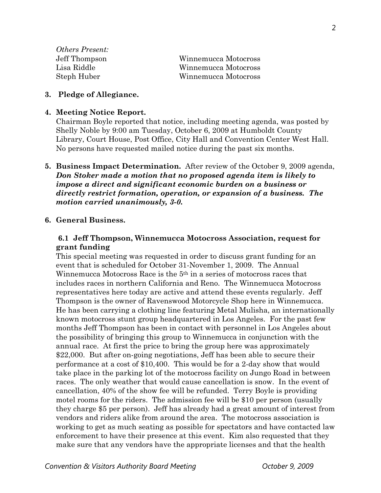| <i>Others Present:</i> |                      |
|------------------------|----------------------|
| Jeff Thompson          | Winnemucca Motocross |
| Lisa Riddle            | Winnemucca Motocross |
| Steph Huber            | Winnemucca Motocross |

### **3. Pledge of Allegiance.**

#### **4. Meeting Notice Report.**

Chairman Boyle reported that notice, including meeting agenda, was posted by Shelly Noble by 9:00 am Tuesday, October 6, 2009 at Humboldt County Library, Court House, Post Office, City Hall and Convention Center West Hall. No persons have requested mailed notice during the past six months.

**5. Business Impact Determination.** After review of the October 9, 2009 agenda, *Don Stoker made a motion that no proposed agenda item is likely to impose a direct and significant economic burden on a business or directly restrict formation, operation, or expansion of a business. The motion carried unanimously, 3-0.*

### **6. General Business.**

## **6.1 Jeff Thompson, Winnemucca Motocross Association, request for grant funding**

This special meeting was requested in order to discuss grant funding for an event that is scheduled for October 31-November 1, 2009. The Annual Winnemucca Motocross Race is the 5<sup>th</sup> in a series of motocross races that includes races in northern California and Reno. The Winnemucca Motocross representatives here today are active and attend these events regularly. Jeff Thompson is the owner of Ravenswood Motorcycle Shop here in Winnemucca. He has been carrying a clothing line featuring Metal Mulisha, an internationally known motocross stunt group headquartered in Los Angeles. For the past few months Jeff Thompson has been in contact with personnel in Los Angeles about the possibility of bringing this group to Winnemucca in conjunction with the annual race. At first the price to bring the group here was approximately \$22,000. But after on-going negotiations, Jeff has been able to secure their performance at a cost of \$10,400. This would be for a 2-day show that would take place in the parking lot of the motocross facility on Jungo Road in between races. The only weather that would cause cancellation is snow. In the event of cancellation, 40% of the show fee will be refunded. Terry Boyle is providing motel rooms for the riders. The admission fee will be \$10 per person (usually they charge \$5 per person). Jeff has already had a great amount of interest from vendors and riders alike from around the area. The motocross association is working to get as much seating as possible for spectators and have contacted law enforcement to have their presence at this event. Kim also requested that they make sure that any vendors have the appropriate licenses and that the health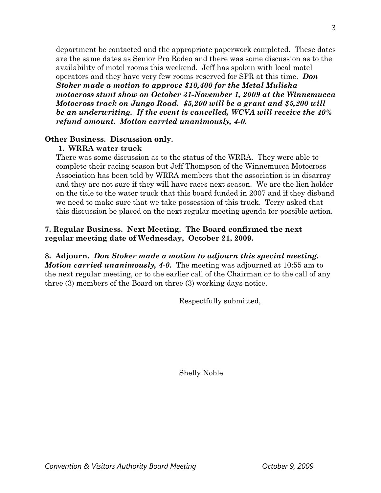department be contacted and the appropriate paperwork completed. These dates are the same dates as Senior Pro Rodeo and there was some discussion as to the availability of motel rooms this weekend. Jeff has spoken with local motel operators and they have very few rooms reserved for SPR at this time. *Don Stoker made a motion to approve \$10,400 for the Metal Mulisha motocross stunt show on October 31-November 1, 2009 at the Winnemucca Motocross track on Jungo Road. \$5,200 will be a grant and \$5,200 will be an underwriting. If the event is cancelled, WCVA will receive the 40% refund amount. Motion carried unanimously, 4-0.* 

# **Other Business. Discussion only.**

# **1. WRRA water truck**

There was some discussion as to the status of the WRRA. They were able to complete their racing season but Jeff Thompson of the Winnemucca Motocross Association has been told by WRRA members that the association is in disarray and they are not sure if they will have races next season. We are the lien holder on the title to the water truck that this board funded in 2007 and if they disband we need to make sure that we take possession of this truck. Terry asked that this discussion be placed on the next regular meeting agenda for possible action.

# **7. Regular Business. Next Meeting. The Board confirmed the next regular meeting date of Wednesday, October 21, 2009.**

# **8. Adjourn.** *Don Stoker made a motion to adjourn this special meeting. Motion carried unanimously, 4-0.* The meeting was adjourned at 10:55 am to the next regular meeting, or to the earlier call of the Chairman or to the call of any three (3) members of the Board on three (3) working days notice.

Respectfully submitted,

Shelly Noble